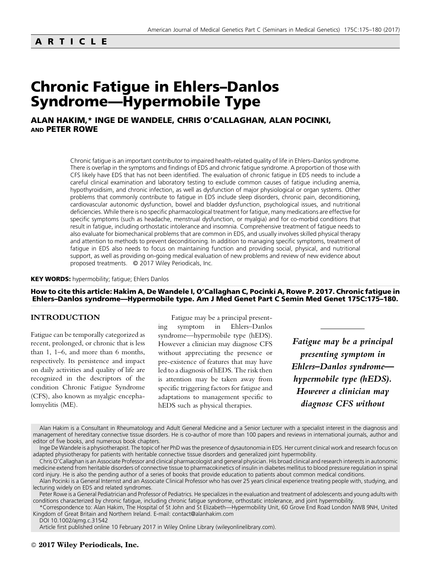# ARTICLE

# Chronic Fatigue in Ehlers–Danlos Syndrome—Hypermobile Type

ALAN HAKIM,\* INGE DE WANDELE, CHRIS O'CALLAGHAN, ALAN POCINKI, AND PETER ROWE

> Chronic fatigue is an important contributor to impaired health-related quality of life in Ehlers–Danlos syndrome. There is overlap in the symptoms and findings of EDS and chronic fatigue syndrome. A proportion of those with CFS likely have EDS that has not been identified. The evaluation of chronic fatigue in EDS needs to include a careful clinical examination and laboratory testing to exclude common causes of fatigue including anemia, hypothyroidisim, and chronic infection, as well as dysfunction of major physiological or organ systems. Other problems that commonly contribute to fatigue in EDS include sleep disorders, chronic pain, deconditioning, cardiovascular autonomic dysfunction, bowel and bladder dysfunction, psychological issues, and nutritional deficiencies. While there is no specific pharmacological treatment for fatigue, many medications are effective for specific symptoms (such as headache, menstrual dysfunction, or myalgia) and for co-morbid conditions that result in fatigue, including orthostatic intolerance and insomnia. Comprehensive treatment of fatigue needs to also evaluate for biomechanical problems that are common in EDS, and usually involves skilled physical therapy and attention to methods to prevent deconditioning. In addition to managing specific symptoms, treatment of fatigue in EDS also needs to focus on maintaining function and providing social, physical, and nutritional support, as well as providing on-going medical evaluation of new problems and review of new evidence about proposed treatments. © 2017 Wiley Periodicals, Inc.

#### KEY WORDS: hypermobility; fatigue; Ehlers Danlos

### How to cite this article: Hakim A, De Wandele I, O'Callaghan C, Pocinki A, Rowe P. 2017. Chronic fatigue in Ehlers–Danlos syndrome—Hypermobile type. Am J Med Genet Part C Semin Med Genet 175C:175–180.

### INTRODUCTION

Fatigue can be temporally categorized as recent, prolonged, or chronic that is less than 1, 1–6, and more than 6 months, respectively. Its persistence and impact on daily activities and quality of life are recognized in the descriptors of the condition Chronic Fatigue Syndrome (CFS), also known as myalgic encephalomyelitis (ME).

Fatigue may be a principal presenting symptom in Ehlers–Danlos syndrome—hypermobile type (hEDS). However a clinician may diagnose CFS without appreciating the presence or pre-existence of features that may have led to a diagnosis of hEDS. The risk then is attention may be taken away from specific triggering factors for fatigue and adaptations to management specific to hEDS such as physical therapies.

Fatigue may be a principal presenting symptom in Ehlers–Danlos syndrome hypermobile type (hEDS). However a clinician may diagnose CFS without

Alan Hakim is a Consultant in Rheumatology and Adult General Medicine and a Senior Lecturer with a specialist interest in the diagnosis and management of hereditary connective tissue disorders. He is co-author of more than 100 papers and reviews in international journals, author and editor of five books, and numerous book chapters.

DOI 10.1002/ajmg.c.31542

Article first published online 10 February 2017 in Wiley Online Library (wileyonlinelibrary.com).

Inge De Wandele is a physiotherapist. The topic of her PhD was the presence of dysautonomia in EDS. Her current clinical work and research focus on adapted physiotherapy for patients with heritable connective tissue disorders and generalized joint hypermobility.

Chris O'Callaghan is an Associate Professor and clinical pharmacologist and general physician. His broad clinical and research interests in autonomic medicine extend from heritable disorders of connective tissue to pharmacokinetics of insulin in diabetes mellitus to blood pressure regulation in spinal cord injury. He is also the pending author of a series of books that provide education to patients about common medical conditions.

Alan Pocinki is a General Internist and an Associate Clinical Professor who has over 25 years clinical experience treating people with, studying, and lecturing widely on EDS and related syndromes.

Peter Rowe is a General Pediatrician and Professor of Pediatrics. He specializes in the evaluation and treatment of adolescents and young adults with conditions characterized by chronic fatigue, including chronic fatigue syndrome, orthostatic intolerance, and joint hypermobility.

<sup>\*</sup>Correspondence to: Alan Hakim, The Hospital of St John and St Elizabeth—Hypermobility Unit, 60 Grove End Road London NW8 9NH, United Kingdom of Great Britain and Northern Ireland. E-mail: contact@alanhakim.com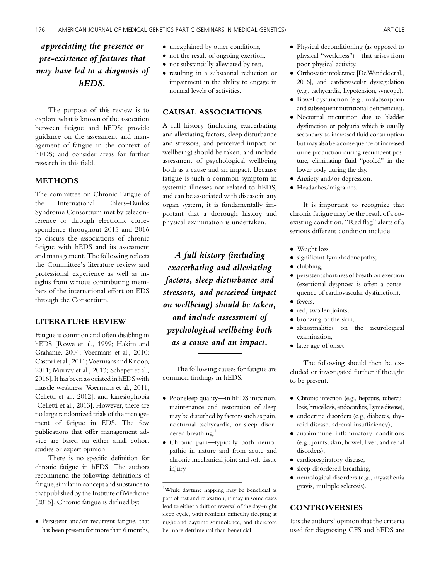# appreciating the presence or pre-existence of features that may have led to a diagnosis of hEDS.

The purpose of this review is to explore what is known of the assocation between fatigue and hEDS; provide guidance on the assessment and management of fatigue in the context of hEDS; and consider areas for further research in this field.

# **METHODS**

The committee on Chronic Fatigue of the International Ehlers–Danlos Syndrome Consortium met by teleconference or through electronic correspondence throughout 2015 and 2016 to discuss the associations of chronic fatigue with hEDS and its assessment and management. The following reflects the Committee's literature review and professional experience as well as insights from various contributing members of the international effort on EDS through the Consortium.

# LITERATURE REVIEW

Fatigue is common and often disabling in hEDS [Rowe et al., 1999; Hakim and Grahame, 2004; Voermans et al., 2010; Castori et al., 2011; Voermans and Knoop, 2011; Murray et al., 2013; Scheper et al., 2016]. It has been associated in hEDS with muscle weakness [Voermans et al., 2011; Celletti et al., 2012], and kinesiophobia [Celletti et al., 2013]. However, there are no large randomized trials of the management of fatigue in EDS. The few publications that offer management advice are based on either small cohort studies or expert opinion.

There is no specific definition for chronic fatigue in hEDS. The authors recommend the following definitions of fatigue, similar in concept and substance to that published by the Institute of Medicine [2015]. Chronic fatigue is defined by:

 Persistent and/or recurrent fatigue, that has been present for more than 6 months,

- unexplained by other conditions,
- not the result of ongoing exertion,
- not substantially alleviated by rest,
- resulting in a substantial reduction or impairment in the ability to engage in normal levels of activities.

# CAUSAL ASSOCIATIONS

A full history (including exacerbating and alleviating factors, sleep disturbance and stressors, and perceived impact on wellbeing) should be taken, and include assessment of psychological wellbeing both as a cause and an impact. Because fatigue is such a common symptom in systemic illnesses not related to hEDS, and can be associated with disease in any organ system, it is fundamentally important that a thorough history and physical examination is undertaken.

A full history (including exacerbating and alleviating factors, sleep disturbance and stressors, and perceived impact on wellbeing) should be taken, and include assessment of psychological wellbeing both as a cause and an impact.

The following causes for fatigue are common findings in hEDS.

- Poor sleep quality—in hEDS initiation, maintenance and restoration of sleep may be disturbed by factors such as pain, nocturnal tachycardia, or sleep disordered breathing. $<sup>1</sup>$ </sup>
- Chronic pain—typically both neuropathic in nature and from acute and chronic mechanical joint and soft tissue injury.
- Physical deconditioning (as opposed to physical "weakness")—that arises from poor physical activity.
- Orthostaticintolerance [DeWandele et al., 2016], and cardiovascular dysregulation (e.g., tachycardia, hypotension, syncope).
- Bowel dysfunction (e.g., malabsorption and subsequent nutritional deficiencies).
- Nocturnal micturition due to bladder dysfunction or polyuria which is usually secondary to increased fluid consumption but may also be a consequence of increased urine production during recumbent posture, eliminating fluid "pooled" in the lower body during the day.
- Anxiety and/or depression.
- Headaches/migraines.

It is important to recognize that chronic fatigue may be the result of a coexisting condition. "Red flag" alerts of a serious different condition include:

- Weight loss,
- significant lymphadenopathy,
- clubbing,
- persistent shortness of breath on exertion (exertional dyspnoea is often a consequence of cardiovascular dysfunction),
- fevers,
- red, swollen joints,
- bronzing of the skin,
- abnormalities on the neurological examination,
- later age of onset.

The following should then be excluded or investigated further if thought to be present:

- Chronic infection (e.g., hepatitis, tuberculosis, brucellosis, endocarditis, Lyme disease),
- endocrine disorders (e.g, diabetes, thyroid disease, adrenal insufficiency),
- autoimmune inflammatory conditions (e.g., joints, skin, bowel, liver, and renal disorders),
- cardiorespiratory disease,
- sleep disordered breathing,
- neurological disorders (e.g., myasthenia gravis, multiple sclerosis).

# **CONTROVERSIES**

It is the authors' opinion that the criteria used for diagnosing CFS and hEDS are

<sup>1</sup> While daytime napping may be beneficial as part of rest and relaxation, it may in some cases lead to either a shift or reversal of the day–night sleep cycle, with resultant difficulty sleeping at night and daytime somnolence, and therefore be more detrimental than beneficial.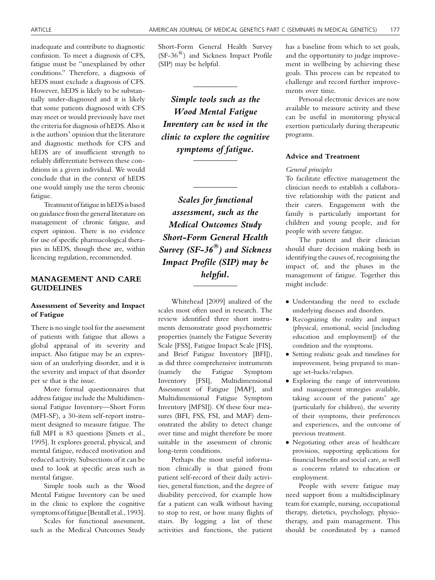inadequate and contribute to diagnostic confusion. To meet a diagnosis of CFS, fatigue must be "unexplained by other conditions." Therefore, a diagnosis of hEDS must exclude a diagnosis of CFS. However, hEDS is likely to be substantially under-diagnosed and it is likely that some patients diagnosed with CFS may meet or would previously have met the criteria for diagnosis of hEDS. Also it is the authors' opinion that the literature and diagnostic methods for CFS and hEDS are of insufficient strength to reliably differentiate between these conditions in a given individual. We would conclude that in the context of hEDS one would simply use the term chronic fatigue.

Treatment of fatigue in hEDS is based on guidance from the general literature on management of chronic fatigue, and expert opinion. There is no evidence for use of specific pharmacological therapies in hEDS, though these are, within licencing regulation, recommended.

# MANAGEMENT AND CARE GUIDELINES

# Assessment of Severity and Impact of Fatigue

There is no single tool for the assessment of patients with fatigue that allows a global appraisal of its severity and impact. Also fatigue may be an expression of an underlying disorder, and it is the severity and impact of that disorder per se that is the issue.

More formal questionnaires that address fatigue include the Multidimensional Fatigue Inventory—Short Form (MFI-SF), a 30-item self-report instrument designed to measure fatigue. The full MFI is 83 questions [Smets et al., 1995]. It explores general, physical, and mental fatigue, reduced motivation and reduced activity. Subsections of it can be used to look at specific areas such as mental fatigue.

Simple tools such as the Wood Mental Fatigue Inventory can be used in the clinic to explore the cognitive symptoms of fatigue [Bentall et al., 1993].

Scales for functional assessment, such as the Medical Outcomes Study Short-Form General Health Survey (SF-36<sup>®</sup>) and Sickness Impact Profile (SIP) may be helpful.

Simple tools such as the Wood Mental Fatigue Inventory can be used in the clinic to explore the cognitive symptoms of fatigue.

Scales for functional assessment, such as the Medical Outcomes Study Short-Form General Health Survey (SF-36 $^{\circledR}$ ) and Sickness Impact Profile (SIP) may be helpful.

Whitehead [2009] analized of the scales most often used in research. The review identified three short instruments demonstrate good psychometric properties (namely the Fatigue Severity Scale [FSS], Fatigue Impact Scale [FIS], and Brief Fatigue Inventory [BFI]), as did three comprehensive instruments (namely the Fatigue Symptom Inventory [FSI], Multidimensional Assessment of Fatigue [MAF], and Multidimensional Fatigue Symptom Inventory [MFSI]). Of these four measures (BFI, FSS, FSI, and MAF) demonstrated the ability to detect change over time and might therefore be more suitable in the assessment of chronic long-term conditions.

Perhaps the most useful information clinically is that gained from patient self-record of their daily activities, general function, and the degree of disability perceived, for example how far a patient can walk without having to stop to rest, or how many flights of stairs. By logging a list of these activities and functions, the patient has a baseline from which to set goals, and the opportunity to judge improvement in wellbeing by achieving these goals. This process can be repeated to challenge and record further improvements over time.

Personal electronic devices are now available to measure activity and these can be useful in monitoring physical exertion particularly during therapeutic programs.

#### Advice and Treatment

#### General principles

To facilitate effective management the clinician needs to establish a collaborative relationship with the patient and their carers. Engagement with the family is particularly important for children and young people, and for people with severe fatigue.

The patient and their clinician should share decision making both in identifying the causes of, recognising the impact of, and the phases in the management of fatigue. Together this might include:

- Understanding the need to exclude underlying diseases and disorders.
- Recognizing the reality and impact (physical, emotional, social [including education and employment]) of the condition and the symptoms.
- Setting realistic goals and timelines for improvement, being prepared to manage set-backs/relapses.
- Exploring the range of interventions and management strategies available, taking account of the patients' age (particularly for children), the severity of their symptoms, their preferences and experiences, and the outcome of previous treatment.
- Negotiating other areas of healthcare provision, supporting applications for financial benefits and social care, as well as concerns related to education or employment.

People with severe fatigue may need support from a multidisciplinary team for example, nursing, occupational therapy, dietetics, psychology, physiotherapy, and pain management. This should be coordinated by a named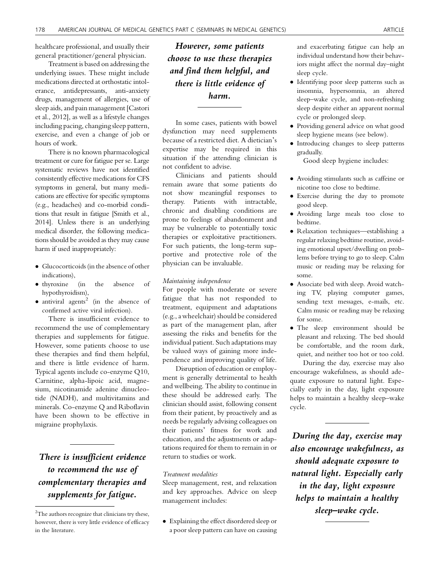healthcare professional, and usually their general practitioner/general physician.

Treatment is based on addressing the underlying issues. These might include medications directed at orthostatic intolerance, antidepressants, anti-anxiety drugs, management of allergies, use of sleep aids, and pain management [Castori et al., 2012], as well as a lifestyle changes including pacing, changing sleep pattern, exercise, and even a change of job or hours of work.

There is no known pharmacological treatment or cure for fatigue per se. Large systematic reviews have not identified consistently effective medications for CFS symptoms in general, but many medications are effective for specific symptoms (e.g., headaches) and co-morbid conditions that result in fatigue [Smith et al., 2014]. Unless there is an underlying medical disorder, the following medications should be avoided as they may cause harm if used inappropriately:

- Glucocorticoids (in the absence of other indications),
- thyroxine (in the absence of hypothyroidism),
- $\bullet$  antiviral agents<sup>2</sup> (in the absence of confirmed active viral infection).

There is insufficient evidence to recommend the use of complementary therapies and supplements for fatigue. However, some patients choose to use these therapies and find them helpful, and there is little evidence of harm. Typical agents include co-enzyme Q10, Carnitine, alpha-lipoic acid, magnesium, nicotinamide adenine dinucleotide (NADH), and multivitamins and minerals. Co-enzyme Q and Riboflavin have been shown to be effective in migraine prophylaxis.

There is insufficient evidence to recommend the use of complementary therapies and supplements for fatigue.

However, some patients choose to use these therapies and find them helpful, and there is little evidence of harm.

In some cases, patients with bowel dysfunction may need supplements because of a restricted diet. A dietician's expertise may be required in this situation if the attending clinician is not confident to advise.

Clinicians and patients should remain aware that some patients do not show meaningful responses to therapy. Patients with intractable, chronic and disabling conditions are prone to feelings of abandonment and may be vulnerable to potentially toxic therapies or exploitative practitioners. For such patients, the long-term supportive and protective role of the physician can be invaluable.

#### Maintaining independence

For people with moderate or severe fatigue that has not responded to treatment, equipment and adaptations (e.g., a wheelchair) should be considered as part of the management plan, after assessing the risks and benefits for the individual patient. Such adaptations may be valued ways of gaining more independence and improving quality of life.

Disruption of education or employment is generally detrimental to health and wellbeing. The ability to continue in these should be addressed early. The clinician should assist, following consent from their patient, by proactively and as needs be regularly advising colleagues on their patients' fitness for work and education, and the adjustments or adaptations required for them to remain in or return to studies or work.

#### Treatment modalities

Sleep management, rest, and relaxation and key approaches. Advice on sleep management includes:

 Explaining the effect disordered sleep or a poor sleep pattern can have on causing

and exacerbating fatigue can help an individual understand how their behaviors might affect the normal day–night sleep cycle.

- Identifying poor sleep patterns such as insomnia, hypersomnia, an altered sleep–wake cycle, and non-refreshing sleep despite either an apparent normal cycle or prolonged sleep.
- Providing general advice on what good sleep hygiene means (see below).
- Introducing changes to sleep patterns gradually.

Good sleep hygiene includes:

- Avoiding stimulants such as caffeine or nicotine too close to bedtime.
- Exercise during the day to promote good sleep.
- Avoiding large meals too close to bedtime.
- Relaxation techniques—establishing a regular relaxing bedtime routine, avoiding emotional upset/dwelling on problems before trying to go to sleep. Calm music or reading may be relaxing for some.
- Associate bed with sleep. Avoid watching TV, playing computer games, sending text messages, e-mails, etc. Calm music or reading may be relaxing for some.
- The sleep environment should be pleasant and relaxing. The bed should be comfortable, and the room dark, quiet, and neither too hot or too cold.

During the day, exercise may also encourage wakefulness, as should adequate exposure to natural light. Especially early in the day, light exposure helps to maintain a healthy sleep–wake cycle.

During the day, exercise may also encourage wakefulness, as should adequate exposure to natural light. Especially early in the day, light exposure helps to maintain a healthy  $2$ The authors recognize that clinicians try these,  $\boldsymbol{s}$  and  $\boldsymbol{s}$  are  $\boldsymbol{s}$  and  $\boldsymbol{s}$  are  $\boldsymbol{s}$  are  $\boldsymbol{s}$  are  $\boldsymbol{s}$  are  $\boldsymbol{s}$  are  $\boldsymbol{s}$  are  $\boldsymbol{s}$  are  $\boldsymbol{s}$  are  $\boldsymbol{s}$  are  $\boldsymbol{s}$  are  $\boldsymbol{s}$  are

however, there is very little evidence of efficacy in the literature.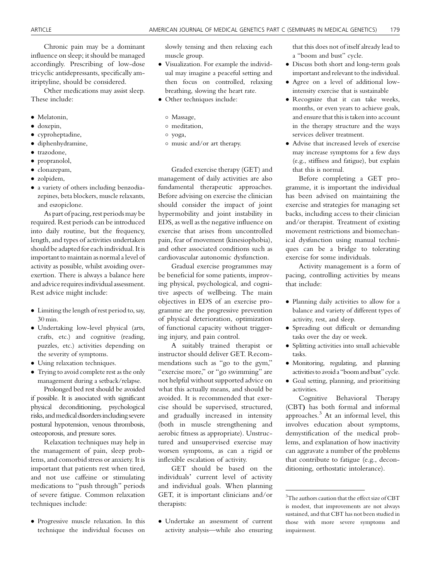Chronic pain may be a dominant influence on sleep; it should be managed accordingly. Prescribing of low-dose tricyclic antidepressants, specifically amitriptyline, should be considered.

Other medications may assist sleep. These include:

- Melatonin,
- doxepin,
- cyproheptadine,
- diphenhydramine,
- $\bullet$  trazodone,
- propranolol,
- $\bullet$  clonazepam,
- zolpidem,
- a variety of others including benzodiazepines, beta blockers, muscle relaxants, and eszopiclone.

As part of pacing, rest periods may be required. Rest periods can be introduced into daily routine, but the frequency, length, and types of activities undertaken should be adapted for each individual. It is important to maintain as normal a level of activity as possible, whilst avoiding overexertion. There is always a balance here and advice requires individual assessment. Rest advice might include:

- Limiting the length of rest period to, say, 30 min.
- Undertaking low-level physical (arts, crafts, etc.) and cognitive (reading, puzzles, etc.) activities depending on the severity of symptoms.
- Using relaxation techniques.
- Trying to avoid complete rest as the only management during a setback/relapse.

Prolonged bed rest should be avoided if possible. It is associated with significant physical deconditioning, psychological risks, andmedical disordersincluding severe postural hypotension, venous thrombosis, osteoporosis, and pressure sores.

Relaxation techniques may help in the management of pain, sleep problems, and comorbid stress or anxiety. It is important that patients rest when tired, and not use caffeine or stimulating medications to "push through" periods of severe fatigue. Common relaxation techniques include:

• Progressive muscle relaxation. In this technique the individual focuses on slowly tensing and then relaxing each muscle group.

- Visualization. For example the individual may imagine a peaceful setting and then focus on controlled, relaxing breathing, slowing the heart rate.
- Other techniques include:
	- Massage,
	- meditation,
	- yoga,
	- music and/or art therapy.

Graded exercise therapy (GET) and management of daily activities are also fundamental therapeutic approaches. Before advising on exercise the clinician should consider the impact of joint hypermobility and joint instability in EDS, as well as the negative influence on exercise that arises from uncontrolled pain, fear of movement (kinesiophobia), and other associated conditions such as cardiovascular autonomic dysfunction.

Gradual exercise programmes may be beneficial for some patients, improving physical, psychological, and cognitive aspects of wellbeing. The main objectives in EDS of an exercise programme are the progressive prevention of physical deterioration, optimization of functional capacity without triggering injury, and pain control.

A suitably trained therapist or instructor should deliver GET. Recommendations such as "go to the gym," "exercise more," or "go swimming" are not helpful without supported advice on what this actually means, and should be avoided. It is recommended that exercise should be supervised, structured, and gradually increased in intensity (both in muscle strengthening and aerobic fitness as appropriate). Unstructured and unsupervised exercise may worsen symptoms, as can a rigid or inflexible escalation of activity.

GET should be based on the individuals' current level of activity and individual goals. When planning GET, it is important clinicians and/or therapists:

 Undertake an assessment of current activity analysis—while also ensuring that this does not of itself already lead to a "boom and bust" cycle.

- Discuss both short and long-term goals important and relevant to the individual.
- Agree on a level of additional lowintensity exercise that is sustainable
- Recognize that it can take weeks, months, or even years to achieve goals, and ensure that this is taken into account in the therapy structure and the ways services deliver treatment.
- Advise that increased levels of exercise may increase symptoms for a few days (e.g., stiffness and fatigue), but explain that this is normal.

Before completing a GET programme, it is important the individual has been advised on maintaining the exercise and strategies for managing set backs, including access to their clinician and/or therapist. Treatment of existing movement restrictions and biomechanical dysfunction using manual techniques can be a bridge to tolerating exercise for some individuals.

Activity management is a form of pacing, controlling activities by means that include:

- Planning daily activities to allow for a balance and variety of different types of activity, rest, and sleep.
- Spreading out difficult or demanding tasks over the day or week.
- Splitting activities into small achievable tasks.
- Monitoring, regulating, and planning activities to avoid a "boom and bust" cycle.
- Goal setting, planning, and prioritising activities.

Cognitive Behavioral Therapy (CBT) has both formal and informal approaches. $<sup>3</sup>$  At an informal level, this</sup> involves education about symptoms, demystification of the medical problems, and explanation of how inactivity can aggravate a number of the problems that contribute to fatigue (e.g., deconditioning, orthostatic intolerance).

<sup>&</sup>lt;sup>3</sup>The authors caution that the effect size of CBT is modest, that improvements are not always sustained, and that CBT has not been studied in those with more severe symptoms and impairment.